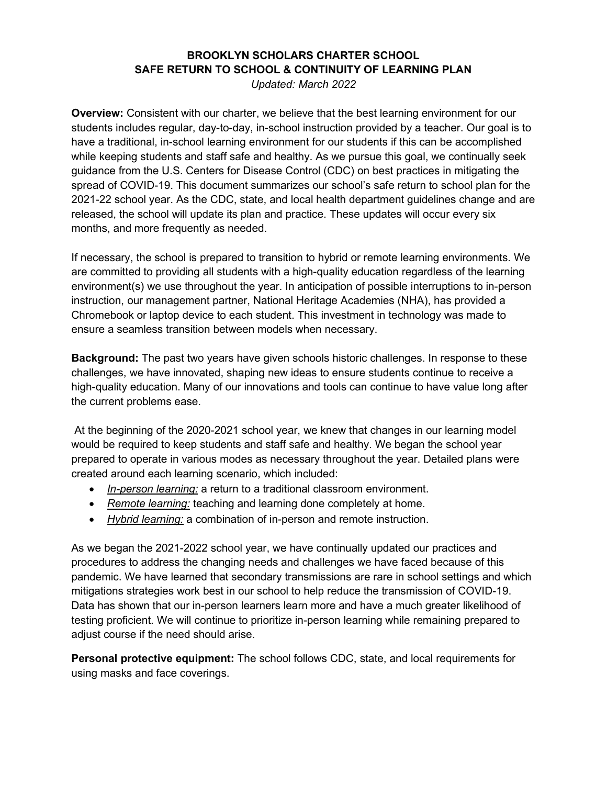## **BROOKLYN SCHOLARS CHARTER SCHOOL SAFE RETURN TO SCHOOL & CONTINUITY OF LEARNING PLAN**

*Updated: March 2022* 

**Overview:** Consistent with our charter, we believe that the best learning environment for our students includes regular, day-to-day, in-school instruction provided by a teacher. Our goal is to have a traditional, in-school learning environment for our students if this can be accomplished while keeping students and staff safe and healthy. As we pursue this goal, we continually seek guidance from the U.S. Centers for Disease Control (CDC) on best practices in mitigating the spread of COVID-19. This document summarizes our school's safe return to school plan for the 2021-22 school year. As the CDC, state, and local health department guidelines change and are released, the school will update its plan and practice. These updates will occur every six months, and more frequently as needed.

If necessary, the school is prepared to transition to hybrid or remote learning environments. We are committed to providing all students with a high-quality education regardless of the learning environment(s) we use throughout the year. In anticipation of possible interruptions to in-person instruction, our management partner, National Heritage Academies (NHA), has provided a Chromebook or laptop device to each student. This investment in technology was made to ensure a seamless transition between models when necessary.

**Background:** The past two years have given schools historic challenges. In response to these challenges, we have innovated, shaping new ideas to ensure students continue to receive a high-quality education. Many of our innovations and tools can continue to have value long after the current problems ease.

At the beginning of the 2020-2021 school year, we knew that changes in our learning model would be required to keep students and staff safe and healthy. We began the school year prepared to operate in various modes as necessary throughout the year. Detailed plans were created around each learning scenario, which included:

- *In-person learning:* a return to a traditional classroom environment.
- *Remote learning:* teaching and learning done completely at home.
- *Hybrid learning:* a combination of in-person and remote instruction.

As we began the 2021-2022 school year, we have continually updated our practices and procedures to address the changing needs and challenges we have faced because of this pandemic. We have learned that secondary transmissions are rare in school settings and which mitigations strategies work best in our school to help reduce the transmission of COVID-19. Data has shown that our in-person learners learn more and have a much greater likelihood of testing proficient. We will continue to prioritize in-person learning while remaining prepared to adjust course if the need should arise.

**Personal protective equipment:** The school follows CDC, state, and local requirements for using masks and face coverings.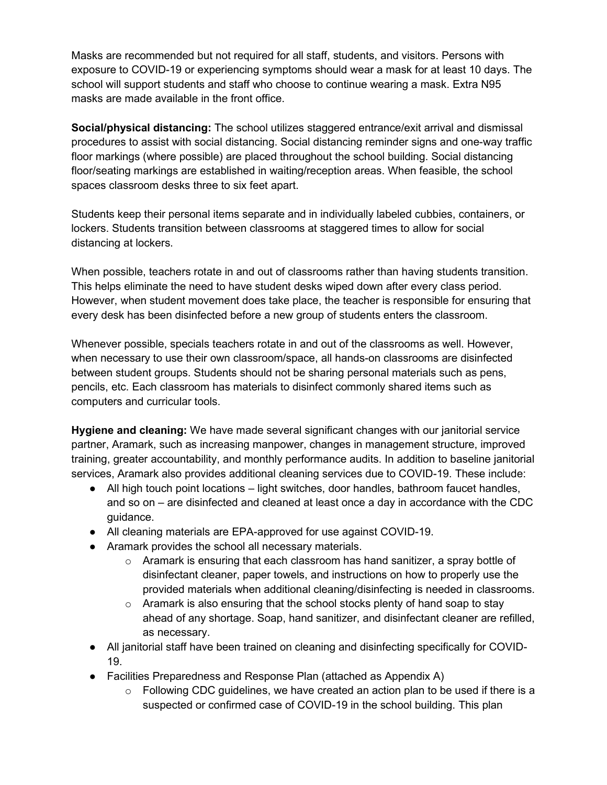Masks are recommended but not required for all staff, students, and visitors. Persons with exposure to COVID-19 or experiencing symptoms should wear a mask for at least 10 days. The school will support students and staff who choose to continue wearing a mask. Extra N95 masks are made available in the front office.

**Social/physical distancing:** The school utilizes staggered entrance/exit arrival and dismissal procedures to assist with social distancing. Social distancing reminder signs and one-way traffic floor markings (where possible) are placed throughout the school building. Social distancing floor/seating markings are established in waiting/reception areas. When feasible, the school spaces classroom desks three to six feet apart.

Students keep their personal items separate and in individually labeled cubbies, containers, or lockers. Students transition between classrooms at staggered times to allow for social distancing at lockers.

When possible, teachers rotate in and out of classrooms rather than having students transition. This helps eliminate the need to have student desks wiped down after every class period. However, when student movement does take place, the teacher is responsible for ensuring that every desk has been disinfected before a new group of students enters the classroom.

Whenever possible, specials teachers rotate in and out of the classrooms as well. However, when necessary to use their own classroom/space, all hands-on classrooms are disinfected between student groups. Students should not be sharing personal materials such as pens, pencils, etc. Each classroom has materials to disinfect commonly shared items such as computers and curricular tools.

**Hygiene and cleaning:** We have made several significant changes with our janitorial service partner, Aramark, such as increasing manpower, changes in management structure, improved training, greater accountability, and monthly performance audits. In addition to baseline janitorial services, Aramark also provides additional cleaning services due to COVID-19. These include:

- All high touch point locations light switches, door handles, bathroom faucet handles, and so on – are disinfected and cleaned at least once a day in accordance with the CDC guidance.
- All cleaning materials are EPA-approved for use against COVID-19.
- Aramark provides the school all necessary materials.
	- $\circ$  Aramark is ensuring that each classroom has hand sanitizer, a spray bottle of disinfectant cleaner, paper towels, and instructions on how to properly use the provided materials when additional cleaning/disinfecting is needed in classrooms.
	- $\circ$  Aramark is also ensuring that the school stocks plenty of hand soap to stay ahead of any shortage. Soap, hand sanitizer, and disinfectant cleaner are refilled, as necessary.
- All janitorial staff have been trained on cleaning and disinfecting specifically for COVID-19.
- Facilities Preparedness and Response Plan (attached as Appendix A)
	- $\circ$  Following CDC guidelines, we have created an action plan to be used if there is a suspected or confirmed case of COVID-19 in the school building. This plan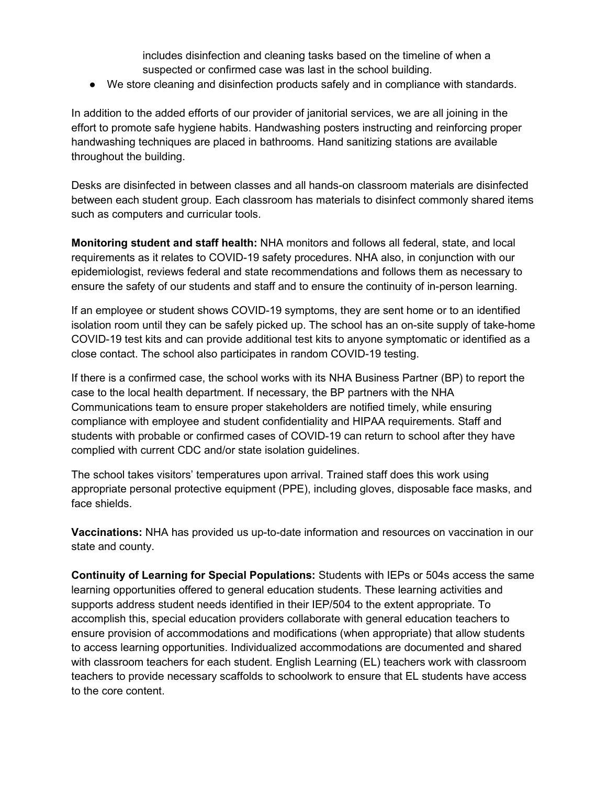includes disinfection and cleaning tasks based on the timeline of when a suspected or confirmed case was last in the school building.

● We store cleaning and disinfection products safely and in compliance with standards.

In addition to the added efforts of our provider of janitorial services, we are all joining in the effort to promote safe hygiene habits. Handwashing posters instructing and reinforcing proper handwashing techniques are placed in bathrooms. Hand sanitizing stations are available throughout the building.

Desks are disinfected in between classes and all hands-on classroom materials are disinfected between each student group. Each classroom has materials to disinfect commonly shared items such as computers and curricular tools.

**Monitoring student and staff health:** NHA monitors and follows all federal, state, and local requirements as it relates to COVID-19 safety procedures. NHA also, in conjunction with our epidemiologist, reviews federal and state recommendations and follows them as necessary to ensure the safety of our students and staff and to ensure the continuity of in-person learning.

If an employee or student shows COVID-19 symptoms, they are sent home or to an identified isolation room until they can be safely picked up. The school has an on-site supply of take-home COVID-19 test kits and can provide additional test kits to anyone symptomatic or identified as a close contact. The school also participates in random COVID-19 testing.

If there is a confirmed case, the school works with its NHA Business Partner (BP) to report the case to the local health department. If necessary, the BP partners with the NHA Communications team to ensure proper stakeholders are notified timely, while ensuring compliance with employee and student confidentiality and HIPAA requirements. Staff and students with probable or confirmed cases of COVID-19 can return to school after they have complied with current CDC and/or state isolation guidelines.

The school takes visitors' temperatures upon arrival. Trained staff does this work using appropriate personal protective equipment (PPE), including gloves, disposable face masks, and face shields.

**Vaccinations:** NHA has provided us up-to-date information and resources on vaccination in our state and county.

**Continuity of Learning for Special Populations:** Students with IEPs or 504s access the same learning opportunities offered to general education students. These learning activities and supports address student needs identified in their IEP/504 to the extent appropriate. To accomplish this, special education providers collaborate with general education teachers to ensure provision of accommodations and modifications (when appropriate) that allow students to access learning opportunities. Individualized accommodations are documented and shared with classroom teachers for each student. English Learning (EL) teachers work with classroom teachers to provide necessary scaffolds to schoolwork to ensure that EL students have access to the core content.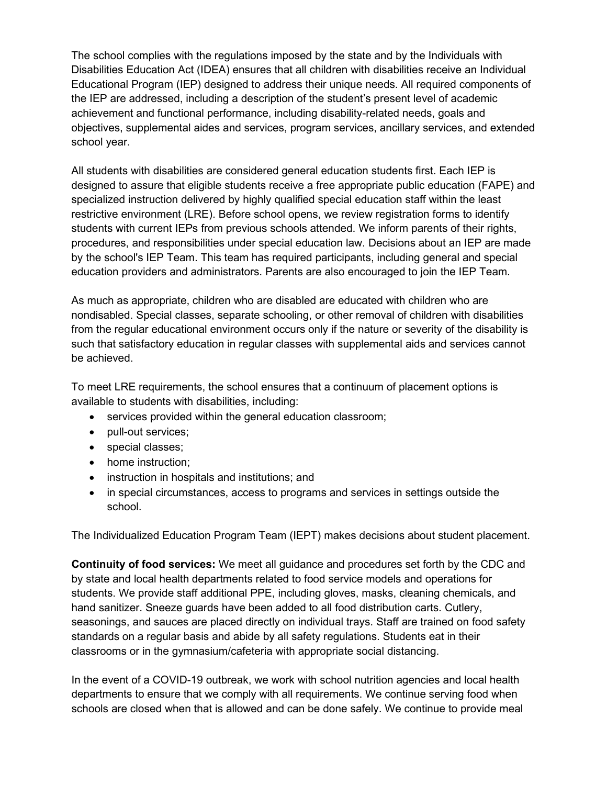The school complies with the regulations imposed by the state and by the Individuals with Disabilities Education Act (IDEA) ensures that all children with disabilities receive an Individual Educational Program (IEP) designed to address their unique needs. All required components of the IEP are addressed, including a description of the student's present level of academic achievement and functional performance, including disability-related needs, goals and objectives, supplemental aides and services, program services, ancillary services, and extended school year.

All students with disabilities are considered general education students first. Each IEP is designed to assure that eligible students receive a free appropriate public education (FAPE) and specialized instruction delivered by highly qualified special education staff within the least restrictive environment (LRE). Before school opens, we review registration forms to identify students with current IEPs from previous schools attended. We inform parents of their rights, procedures, and responsibilities under special education law. Decisions about an IEP are made by the school's IEP Team. This team has required participants, including general and special education providers and administrators. Parents are also encouraged to join the IEP Team.

As much as appropriate, children who are disabled are educated with children who are nondisabled. Special classes, separate schooling, or other removal of children with disabilities from the regular educational environment occurs only if the nature or severity of the disability is such that satisfactory education in regular classes with supplemental aids and services cannot be achieved.

To meet LRE requirements, the school ensures that a continuum of placement options is available to students with disabilities, including:

- services provided within the general education classroom;
- pull-out services;
- special classes;
- home instruction;
- instruction in hospitals and institutions; and
- in special circumstances, access to programs and services in settings outside the school.

The Individualized Education Program Team (IEPT) makes decisions about student placement.

**Continuity of food services:** We meet all guidance and procedures set forth by the CDC and by state and local health departments related to food service models and operations for students. We provide staff additional PPE, including gloves, masks, cleaning chemicals, and hand sanitizer. Sneeze guards have been added to all food distribution carts. Cutlery, seasonings, and sauces are placed directly on individual trays. Staff are trained on food safety standards on a regular basis and abide by all safety regulations. Students eat in their classrooms or in the gymnasium/cafeteria with appropriate social distancing.

In the event of a COVID-19 outbreak, we work with school nutrition agencies and local health departments to ensure that we comply with all requirements. We continue serving food when schools are closed when that is allowed and can be done safely. We continue to provide meal